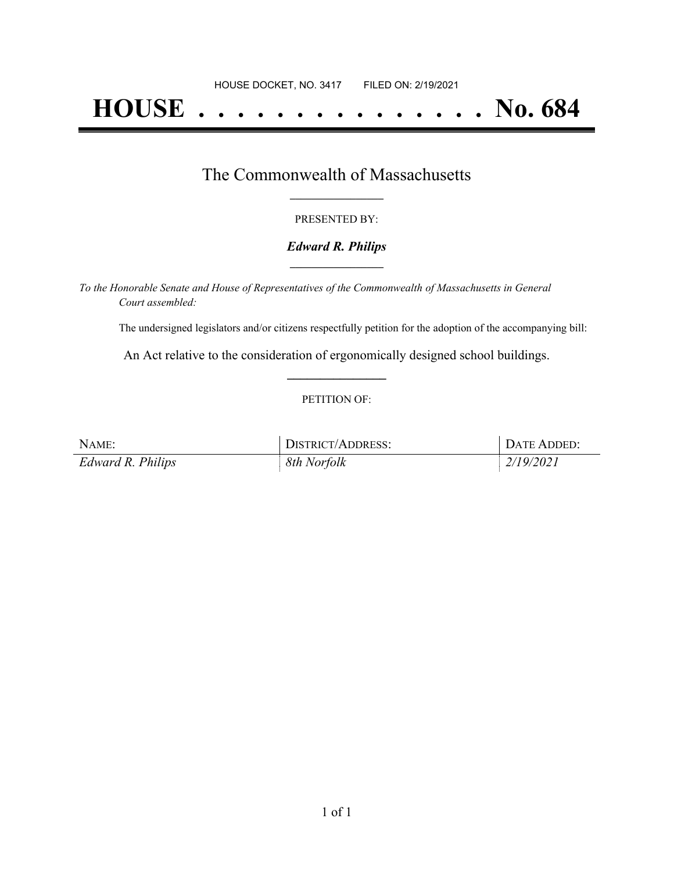# **HOUSE . . . . . . . . . . . . . . . No. 684**

## The Commonwealth of Massachusetts **\_\_\_\_\_\_\_\_\_\_\_\_\_\_\_\_\_**

#### PRESENTED BY:

#### *Edward R. Philips* **\_\_\_\_\_\_\_\_\_\_\_\_\_\_\_\_\_**

*To the Honorable Senate and House of Representatives of the Commonwealth of Massachusetts in General Court assembled:*

The undersigned legislators and/or citizens respectfully petition for the adoption of the accompanying bill:

An Act relative to the consideration of ergonomically designed school buildings. **\_\_\_\_\_\_\_\_\_\_\_\_\_\_\_**

#### PETITION OF:

| NAME:             | <b>DISTRICT/ADDRESS:</b> | DATE ADDED: |
|-------------------|--------------------------|-------------|
| Edward R. Philips | 8th Norfolk              | 2/19/2021   |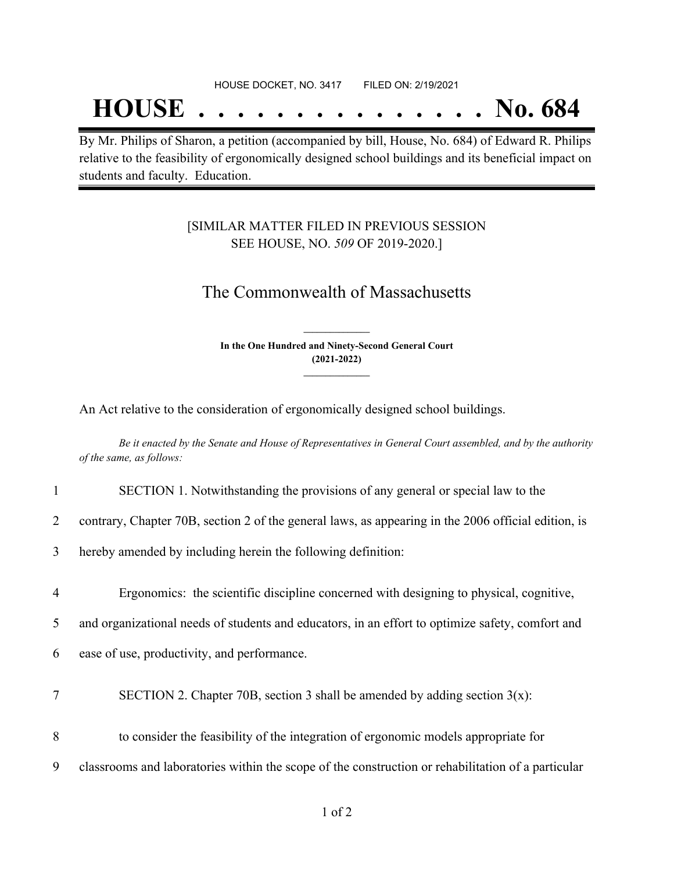## **HOUSE . . . . . . . . . . . . . . . No. 684**

By Mr. Philips of Sharon, a petition (accompanied by bill, House, No. 684) of Edward R. Philips relative to the feasibility of ergonomically designed school buildings and its beneficial impact on students and faculty. Education.

### [SIMILAR MATTER FILED IN PREVIOUS SESSION SEE HOUSE, NO. *509* OF 2019-2020.]

## The Commonwealth of Massachusetts

**In the One Hundred and Ninety-Second General Court (2021-2022) \_\_\_\_\_\_\_\_\_\_\_\_\_\_\_**

**\_\_\_\_\_\_\_\_\_\_\_\_\_\_\_**

An Act relative to the consideration of ergonomically designed school buildings.

Be it enacted by the Senate and House of Representatives in General Court assembled, and by the authority *of the same, as follows:*

- 1 SECTION 1. Notwithstanding the provisions of any general or special law to the
- 2 contrary, Chapter 70B, section 2 of the general laws, as appearing in the 2006 official edition, is
- 3 hereby amended by including herein the following definition:
- 4 Ergonomics: the scientific discipline concerned with designing to physical, cognitive,
- 5 and organizational needs of students and educators, in an effort to optimize safety, comfort and
- 6 ease of use, productivity, and performance.
- 7 SECTION 2. Chapter 70B, section 3 shall be amended by adding section  $3(x)$ :
- 8 to consider the feasibility of the integration of ergonomic models appropriate for
- 9 classrooms and laboratories within the scope of the construction or rehabilitation of a particular